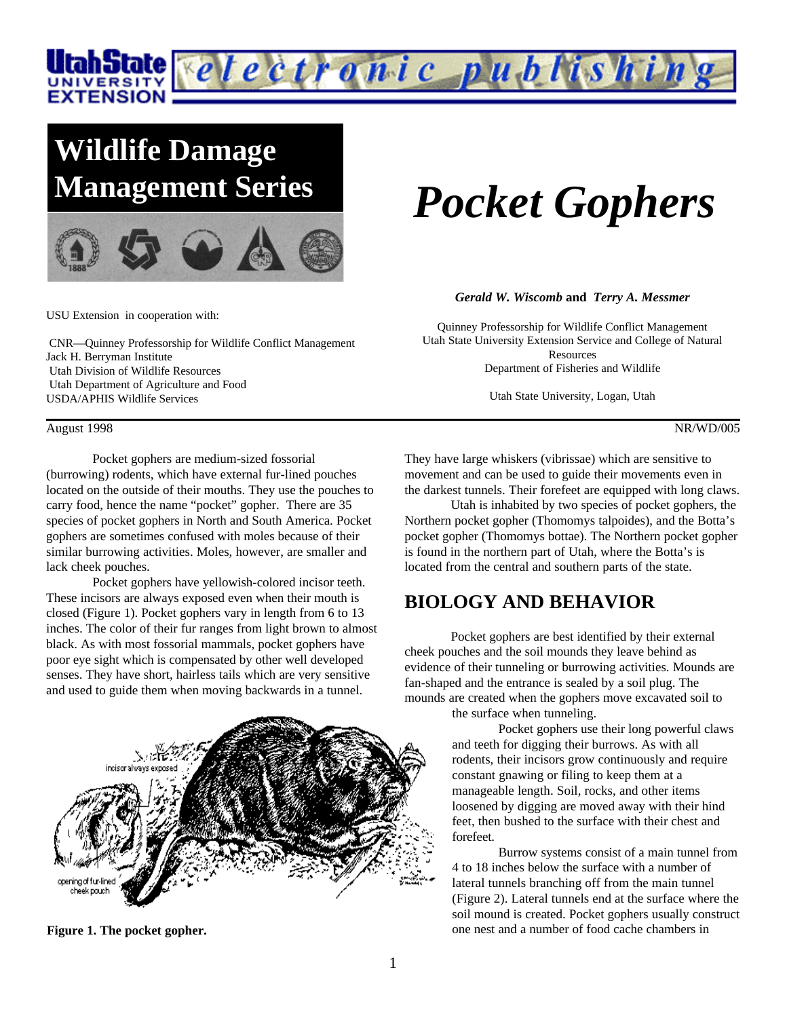

## **Wildlife Damage Management Series**



USU Extension in cooperation with:

 CNR—Quinney Professorship for Wildlife Conflict Management Jack H. Berryman Institute Utah Division of Wildlife Resources Utah Department of Agriculture and Food USDA/APHIS Wildlife Services

August 1998 NR/WD/005

Pocket gophers are medium-sized fossorial (burrowing) rodents, which have external fur-lined pouches located on the outside of their mouths. They use the pouches to carry food, hence the name "pocket" gopher. There are 35 species of pocket gophers in North and South America. Pocket gophers are sometimes confused with moles because of their similar burrowing activities. Moles, however, are smaller and lack cheek pouches.

Pocket gophers have yellowish-colored incisor teeth. These incisors are always exposed even when their mouth is closed (Figure 1). Pocket gophers vary in length from 6 to 13 inches. The color of their fur ranges from light brown to almost black. As with most fossorial mammals, pocket gophers have poor eye sight which is compensated by other well developed senses. They have short, hairless tails which are very sensitive and used to guide them when moving backwards in a tunnel.



**Figure 1. The pocket gopher.**

# *Pocket Gophers*

#### *Gerald W. Wiscomb* **and** *Terry A. Messmer*

Quinney Professorship for Wildlife Conflict Management Utah State University Extension Service and College of Natural Resources Department of Fisheries and Wildlife

Utah State University, Logan, Utah

They have large whiskers (vibrissae) which are sensitive to movement and can be used to guide their movements even in the darkest tunnels. Their forefeet are equipped with long claws.

Utah is inhabited by two species of pocket gophers, the Northern pocket gopher (Thomomys talpoides), and the Botta's pocket gopher (Thomomys bottae). The Northern pocket gopher is found in the northern part of Utah, where the Botta's is located from the central and southern parts of the state.

### **BIOLOGY AND BEHAVIOR**

Pocket gophers are best identified by their external cheek pouches and the soil mounds they leave behind as evidence of their tunneling or burrowing activities. Mounds are fan-shaped and the entrance is sealed by a soil plug. The mounds are created when the gophers move excavated soil to

the surface when tunneling.

Pocket gophers use their long powerful claws and teeth for digging their burrows. As with all rodents, their incisors grow continuously and require constant gnawing or filing to keep them at a manageable length. Soil, rocks, and other items loosened by digging are moved away with their hind feet, then bushed to the surface with their chest and forefeet.

Burrow systems consist of a main tunnel from 4 to 18 inches below the surface with a number of lateral tunnels branching off from the main tunnel (Figure 2). Lateral tunnels end at the surface where the soil mound is created. Pocket gophers usually construct one nest and a number of food cache chambers in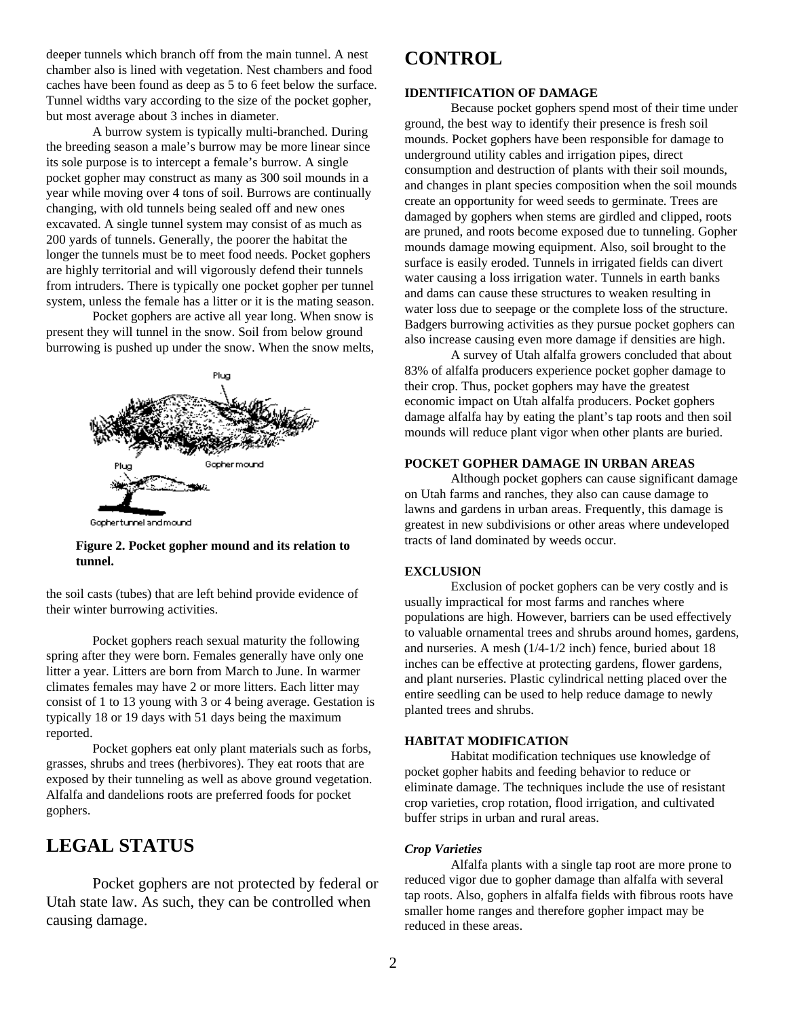deeper tunnels which branch off from the main tunnel. A nest chamber also is lined with vegetation. Nest chambers and food caches have been found as deep as 5 to 6 feet below the surface. Tunnel widths vary according to the size of the pocket gopher, but most average about 3 inches in diameter.

A burrow system is typically multi-branched. During the breeding season a male's burrow may be more linear since its sole purpose is to intercept a female's burrow. A single pocket gopher may construct as many as 300 soil mounds in a year while moving over 4 tons of soil. Burrows are continually changing, with old tunnels being sealed off and new ones excavated. A single tunnel system may consist of as much as 200 yards of tunnels. Generally, the poorer the habitat the longer the tunnels must be to meet food needs. Pocket gophers are highly territorial and will vigorously defend their tunnels from intruders. There is typically one pocket gopher per tunnel system, unless the female has a litter or it is the mating season.

Pocket gophers are active all year long. When snow is present they will tunnel in the snow. Soil from below ground burrowing is pushed up under the snow. When the snow melts,



Gophertunnel and mound

#### **Figure 2. Pocket gopher mound and its relation to tunnel.**

the soil casts (tubes) that are left behind provide evidence of their winter burrowing activities.

Pocket gophers reach sexual maturity the following spring after they were born. Females generally have only one litter a year. Litters are born from March to June. In warmer climates females may have 2 or more litters. Each litter may consist of 1 to 13 young with 3 or 4 being average. Gestation is typically 18 or 19 days with 51 days being the maximum reported.

Pocket gophers eat only plant materials such as forbs, grasses, shrubs and trees (herbivores). They eat roots that are exposed by their tunneling as well as above ground vegetation. Alfalfa and dandelions roots are preferred foods for pocket gophers.

## **LEGAL STATUS**

Pocket gophers are not protected by federal or Utah state law. As such, they can be controlled when causing damage.

## **CONTROL**

#### **IDENTIFICATION OF DAMAGE**

Because pocket gophers spend most of their time under ground, the best way to identify their presence is fresh soil mounds. Pocket gophers have been responsible for damage to underground utility cables and irrigation pipes, direct consumption and destruction of plants with their soil mounds, and changes in plant species composition when the soil mounds create an opportunity for weed seeds to germinate. Trees are damaged by gophers when stems are girdled and clipped, roots are pruned, and roots become exposed due to tunneling. Gopher mounds damage mowing equipment. Also, soil brought to the surface is easily eroded. Tunnels in irrigated fields can divert water causing a loss irrigation water. Tunnels in earth banks and dams can cause these structures to weaken resulting in water loss due to seepage or the complete loss of the structure. Badgers burrowing activities as they pursue pocket gophers can also increase causing even more damage if densities are high.

A survey of Utah alfalfa growers concluded that about 83% of alfalfa producers experience pocket gopher damage to their crop. Thus, pocket gophers may have the greatest economic impact on Utah alfalfa producers. Pocket gophers damage alfalfa hay by eating the plant's tap roots and then soil mounds will reduce plant vigor when other plants are buried.

#### **POCKET GOPHER DAMAGE IN URBAN AREAS**

Although pocket gophers can cause significant damage on Utah farms and ranches, they also can cause damage to lawns and gardens in urban areas. Frequently, this damage is greatest in new subdivisions or other areas where undeveloped tracts of land dominated by weeds occur.

#### **EXCLUSION**

Exclusion of pocket gophers can be very costly and is usually impractical for most farms and ranches where populations are high. However, barriers can be used effectively to valuable ornamental trees and shrubs around homes, gardens, and nurseries. A mesh (1/4-1/2 inch) fence, buried about 18 inches can be effective at protecting gardens, flower gardens, and plant nurseries. Plastic cylindrical netting placed over the entire seedling can be used to help reduce damage to newly planted trees and shrubs.

#### **HABITAT MODIFICATION**

Habitat modification techniques use knowledge of pocket gopher habits and feeding behavior to reduce or eliminate damage. The techniques include the use of resistant crop varieties, crop rotation, flood irrigation, and cultivated buffer strips in urban and rural areas.

#### *Crop Varieties*

Alfalfa plants with a single tap root are more prone to reduced vigor due to gopher damage than alfalfa with several tap roots. Also, gophers in alfalfa fields with fibrous roots have smaller home ranges and therefore gopher impact may be reduced in these areas.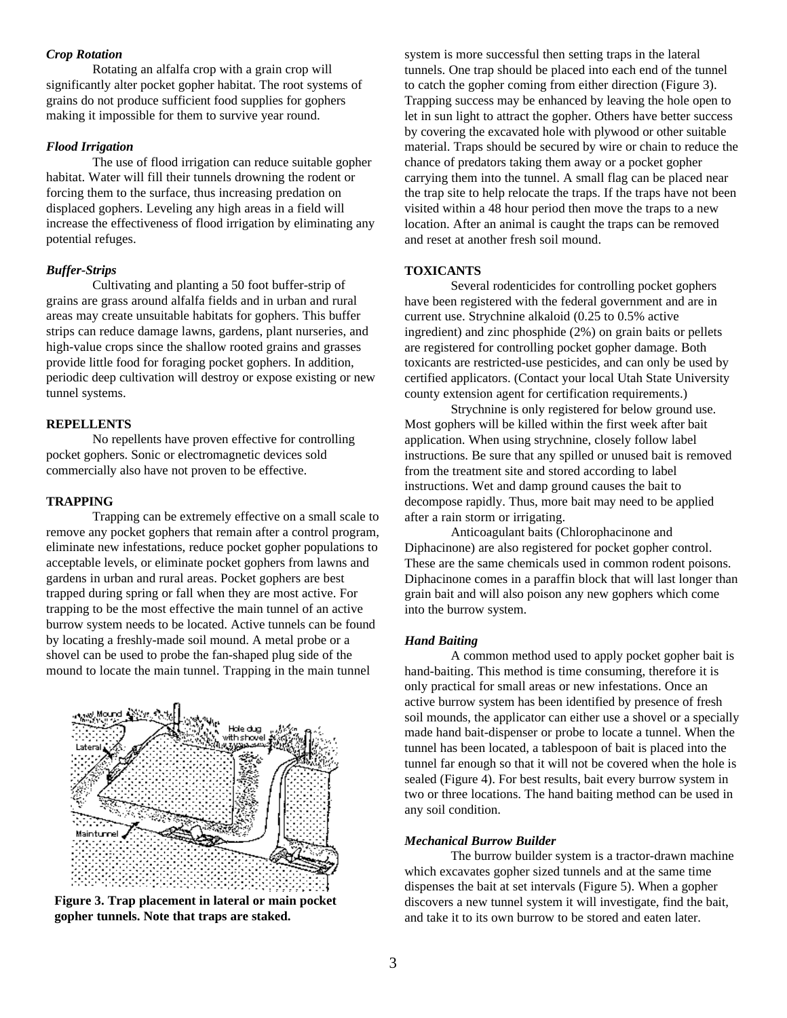#### *Crop Rotation*

Rotating an alfalfa crop with a grain crop will significantly alter pocket gopher habitat. The root systems of grains do not produce sufficient food supplies for gophers making it impossible for them to survive year round.

#### *Flood Irrigation*

The use of flood irrigation can reduce suitable gopher habitat. Water will fill their tunnels drowning the rodent or forcing them to the surface, thus increasing predation on displaced gophers. Leveling any high areas in a field will increase the effectiveness of flood irrigation by eliminating any potential refuges.

#### *Buffer-Strips*

Cultivating and planting a 50 foot buffer-strip of grains are grass around alfalfa fields and in urban and rural areas may create unsuitable habitats for gophers. This buffer strips can reduce damage lawns, gardens, plant nurseries, and high-value crops since the shallow rooted grains and grasses provide little food for foraging pocket gophers. In addition, periodic deep cultivation will destroy or expose existing or new tunnel systems.

#### **REPELLENTS**

No repellents have proven effective for controlling pocket gophers. Sonic or electromagnetic devices sold commercially also have not proven to be effective.

#### **TRAPPING**

Trapping can be extremely effective on a small scale to remove any pocket gophers that remain after a control program, eliminate new infestations, reduce pocket gopher populations to acceptable levels, or eliminate pocket gophers from lawns and gardens in urban and rural areas. Pocket gophers are best trapped during spring or fall when they are most active. For trapping to be the most effective the main tunnel of an active burrow system needs to be located. Active tunnels can be found by locating a freshly-made soil mound. A metal probe or a shovel can be used to probe the fan-shaped plug side of the mound to locate the main tunnel. Trapping in the main tunnel



**Figure 3. Trap placement in lateral or main pocket gopher tunnels. Note that traps are staked.**

system is more successful then setting traps in the lateral tunnels. One trap should be placed into each end of the tunnel to catch the gopher coming from either direction (Figure 3). Trapping success may be enhanced by leaving the hole open to let in sun light to attract the gopher. Others have better success by covering the excavated hole with plywood or other suitable material. Traps should be secured by wire or chain to reduce the chance of predators taking them away or a pocket gopher carrying them into the tunnel. A small flag can be placed near the trap site to help relocate the traps. If the traps have not been visited within a 48 hour period then move the traps to a new location. After an animal is caught the traps can be removed and reset at another fresh soil mound.

#### **TOXICANTS**

Several rodenticides for controlling pocket gophers have been registered with the federal government and are in current use. Strychnine alkaloid (0.25 to 0.5% active ingredient) and zinc phosphide (2%) on grain baits or pellets are registered for controlling pocket gopher damage. Both toxicants are restricted-use pesticides, and can only be used by certified applicators. (Contact your local Utah State University county extension agent for certification requirements.)

Strychnine is only registered for below ground use. Most gophers will be killed within the first week after bait application. When using strychnine, closely follow label instructions. Be sure that any spilled or unused bait is removed from the treatment site and stored according to label instructions. Wet and damp ground causes the bait to decompose rapidly. Thus, more bait may need to be applied after a rain storm or irrigating.

Anticoagulant baits (Chlorophacinone and Diphacinone) are also registered for pocket gopher control. These are the same chemicals used in common rodent poisons. Diphacinone comes in a paraffin block that will last longer than grain bait and will also poison any new gophers which come into the burrow system.

#### *Hand Baiting*

A common method used to apply pocket gopher bait is hand-baiting. This method is time consuming, therefore it is only practical for small areas or new infestations. Once an active burrow system has been identified by presence of fresh soil mounds, the applicator can either use a shovel or a specially made hand bait-dispenser or probe to locate a tunnel. When the tunnel has been located, a tablespoon of bait is placed into the tunnel far enough so that it will not be covered when the hole is sealed (Figure 4). For best results, bait every burrow system in two or three locations. The hand baiting method can be used in any soil condition.

#### *Mechanical Burrow Builder*

The burrow builder system is a tractor-drawn machine which excavates gopher sized tunnels and at the same time dispenses the bait at set intervals (Figure 5). When a gopher discovers a new tunnel system it will investigate, find the bait, and take it to its own burrow to be stored and eaten later.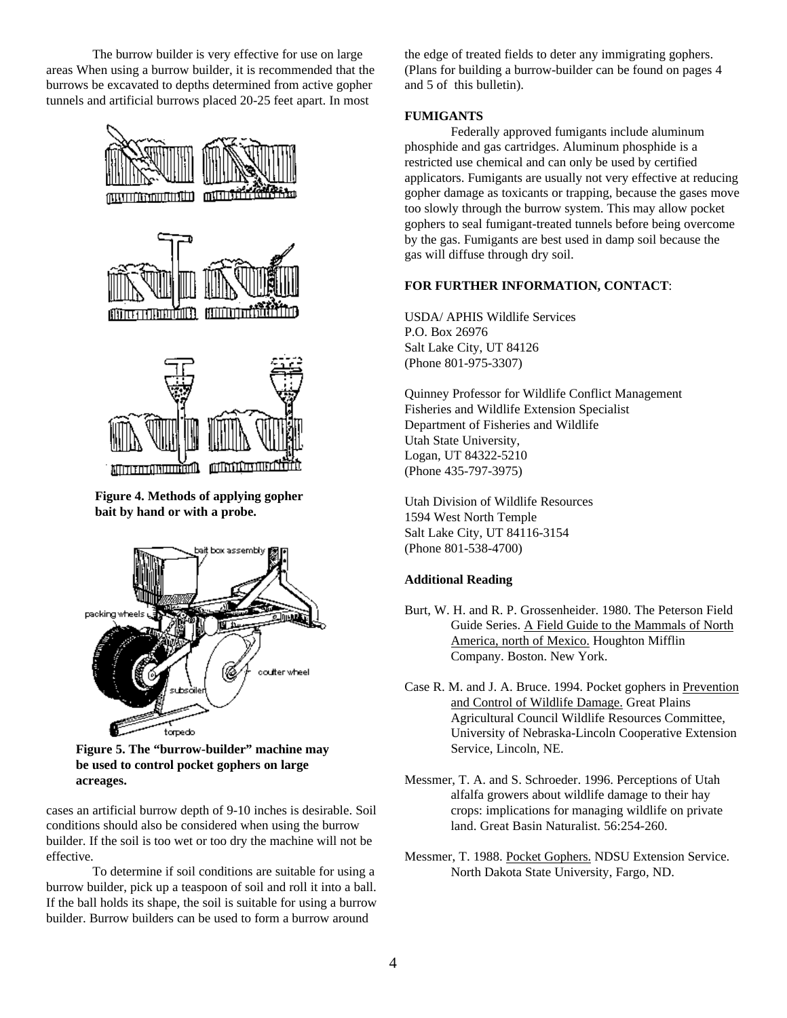The burrow builder is very effective for use on large areas When using a burrow builder, it is recommended that the burrows be excavated to depths determined from active gopher tunnels and artificial burrows placed 20-25 feet apart. In most



**bait by hand or with a probe.**



**Figure 5. The "burrow-builder" machine may be used to control pocket gophers on large acreages.**

cases an artificial burrow depth of 9-10 inches is desirable. Soil conditions should also be considered when using the burrow builder. If the soil is too wet or too dry the machine will not be effective.

To determine if soil conditions are suitable for using a burrow builder, pick up a teaspoon of soil and roll it into a ball. If the ball holds its shape, the soil is suitable for using a burrow builder. Burrow builders can be used to form a burrow around

the edge of treated fields to deter any immigrating gophers. (Plans for building a burrow-builder can be found on pages 4 and 5 of this bulletin).

#### **FUMIGANTS**

Federally approved fumigants include aluminum phosphide and gas cartridges. Aluminum phosphide is a restricted use chemical and can only be used by certified applicators. Fumigants are usually not very effective at reducing gopher damage as toxicants or trapping, because the gases move too slowly through the burrow system. This may allow pocket gophers to seal fumigant-treated tunnels before being overcome by the gas. Fumigants are best used in damp soil because the gas will diffuse through dry soil.

#### **FOR FURTHER INFORMATION, CONTACT**:

USDA/ APHIS Wildlife Services P.O. Box 26976 Salt Lake City, UT 84126 (Phone 801-975-3307)

Quinney Professor for Wildlife Conflict Management Fisheries and Wildlife Extension Specialist Department of Fisheries and Wildlife Utah State University, Logan, UT 84322-5210 (Phone 435-797-3975)

Utah Division of Wildlife Resources 1594 West North Temple Salt Lake City, UT 84116-3154 (Phone 801-538-4700)

#### **Additional Reading**

- Burt, W. H. and R. P. Grossenheider. 1980. The Peterson Field Guide Series. A Field Guide to the Mammals of North America, north of Mexico. Houghton Mifflin Company. Boston. New York.
- Case R. M. and J. A. Bruce. 1994. Pocket gophers in Prevention and Control of Wildlife Damage. Great Plains Agricultural Council Wildlife Resources Committee, University of Nebraska-Lincoln Cooperative Extension Service, Lincoln, NE.
- Messmer, T. A. and S. Schroeder. 1996. Perceptions of Utah alfalfa growers about wildlife damage to their hay crops: implications for managing wildlife on private land. Great Basin Naturalist. 56:254-260.
- Messmer, T. 1988. Pocket Gophers. NDSU Extension Service. North Dakota State University, Fargo, ND.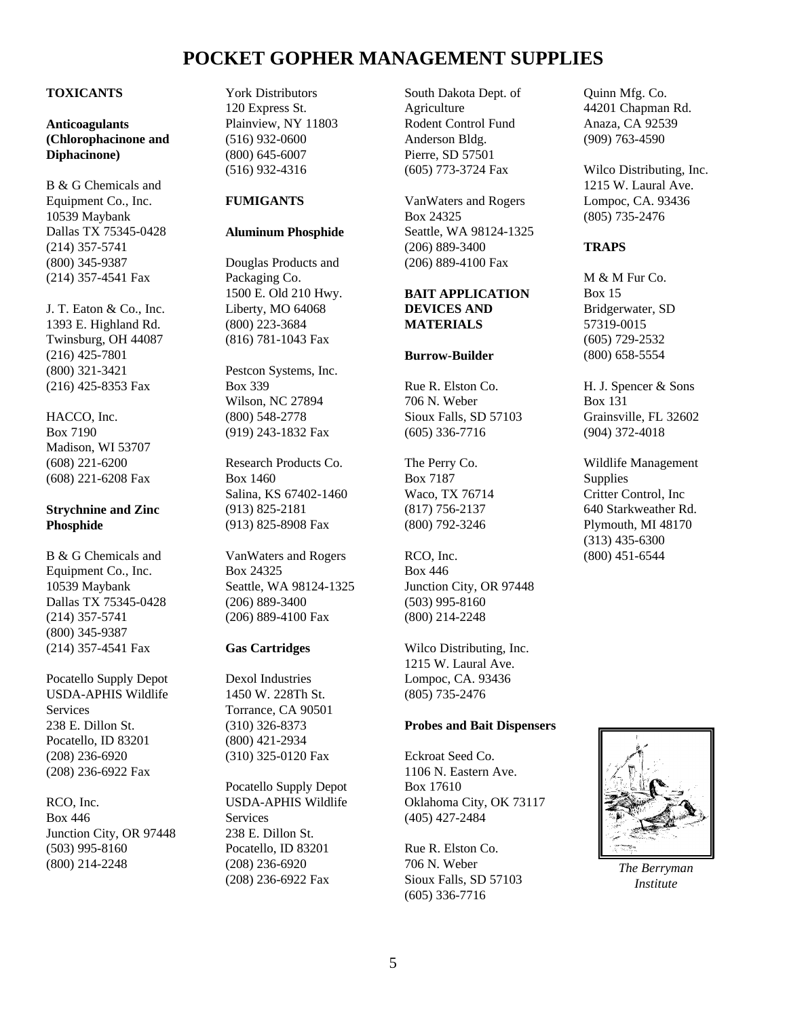## **POCKET GOPHER MANAGEMENT SUPPLIES**

#### **TOXICANTS**

**Anticoagulants (Chlorophacinone and Diphacinone)**

B & G Chemicals and Equipment Co., Inc. 10539 Maybank Dallas TX 75345-0428 (214) 357-5741 (800) 345-9387 (214) 357-4541 Fax

J. T. Eaton & Co., Inc. 1393 E. Highland Rd. Twinsburg, OH 44087 (216) 425-7801 (800) 321-3421 (216) 425-8353 Fax

HACCO, Inc. Box 7190 Madison, WI 53707 (608) 221-6200 (608) 221-6208 Fax

#### **Strychnine and Zinc Phosphide**

B & G Chemicals and Equipment Co., Inc. 10539 Maybank Dallas TX 75345-0428 (214) 357-5741 (800) 345-9387 (214) 357-4541 Fax

Pocatello Supply Depot USDA-APHIS Wildlife **Services** 238 E. Dillon St. Pocatello, ID 83201 (208) 236-6920 (208) 236-6922 Fax

RCO, Inc. Box 446 Junction City, OR 97448 (503) 995-8160 (800) 214-2248

York Distributors 120 Express St. Plainview, NY 11803 (516) 932-0600 (800) 645-6007 (516) 932-4316

#### **FUMIGANTS**

#### **Aluminum Phosphide**

Douglas Products and Packaging Co. 1500 E. Old 210 Hwy. Liberty, MO 64068 (800) 223-3684 (816) 781-1043 Fax

Pestcon Systems, Inc. Box 339 Wilson, NC 27894 (800) 548-2778 (919) 243-1832 Fax

Research Products Co. Box 1460 Salina, KS 67402-1460 (913) 825-2181 (913) 825-8908 Fax

VanWaters and Rogers Box 24325 Seattle, WA 98124-1325 (206) 889-3400 (206) 889-4100 Fax

#### **Gas Cartridges**

Dexol Industries 1450 W. 228Th St. Torrance, CA 90501 (310) 326-8373 (800) 421-2934 (310) 325-0120 Fax

Pocatello Supply Depot USDA-APHIS Wildlife **Services** 238 E. Dillon St. Pocatello, ID 83201 (208) 236-6920 (208) 236-6922 Fax

South Dakota Dept. of Agriculture Rodent Control Fund Anderson Bldg. Pierre, SD 57501 (605) 773-3724 Fax

VanWaters and Rogers Box 24325 Seattle, WA 98124-1325 (206) 889-3400 (206) 889-4100 Fax

#### **BAIT APPLICATION DEVICES AND MATERIALS**

#### **Burrow-Builder**

Rue R. Elston Co. 706 N. Weber Sioux Falls, SD 57103 (605) 336-7716

The Perry Co. Box 7187 Waco, TX 76714 (817) 756-2137 (800) 792-3246

RCO, Inc. Box 446 Junction City, OR 97448 (503) 995-8160 (800) 214-2248

Wilco Distributing, Inc. 1215 W. Laural Ave. Lompoc, CA. 93436 (805) 735-2476

#### **Probes and Bait Dispensers**

Eckroat Seed Co. 1106 N. Eastern Ave. Box 17610 Oklahoma City, OK 73117 (405) 427-2484

Rue R. Elston Co. 706 N. Weber Sioux Falls, SD 57103 (605) 336-7716

Quinn Mfg. Co. 44201 Chapman Rd. Anaza, CA 92539 (909) 763-4590

Wilco Distributing, Inc. 1215 W. Laural Ave. Lompoc, CA. 93436 (805) 735-2476

#### **TRAPS**

M & M Fur Co. Box 15 Bridgerwater, SD 57319-0015 (605) 729-2532 (800) 658-5554

H. J. Spencer & Sons Box 131 Grainsville, FL 32602 (904) 372-4018

Wildlife Management **Supplies** Critter Control, Inc 640 Starkweather Rd. Plymouth, MI 48170 (313) 435-6300 (800) 451-6544



*The Berryman Institute*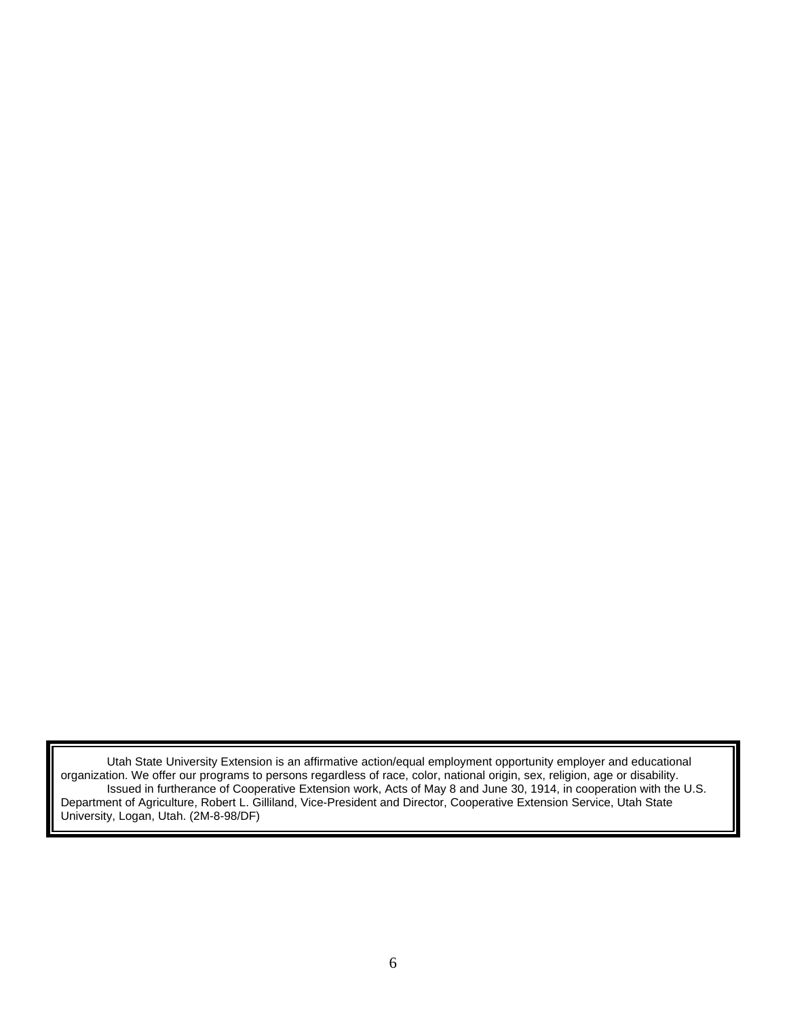Utah State University Extension is an affirmative action/equal employment opportunity employer and educational organization. We offer our programs to persons regardless of race, color, national origin, sex, religion, age or disability. Issued in furtherance of Cooperative Extension work, Acts of May 8 and June 30, 1914, in cooperation with the U.S. Department of Agriculture, Robert L. Gilliland, Vice-President and Director, Cooperative Extension Service, Utah State University, Logan, Utah. (2M-8-98/DF)